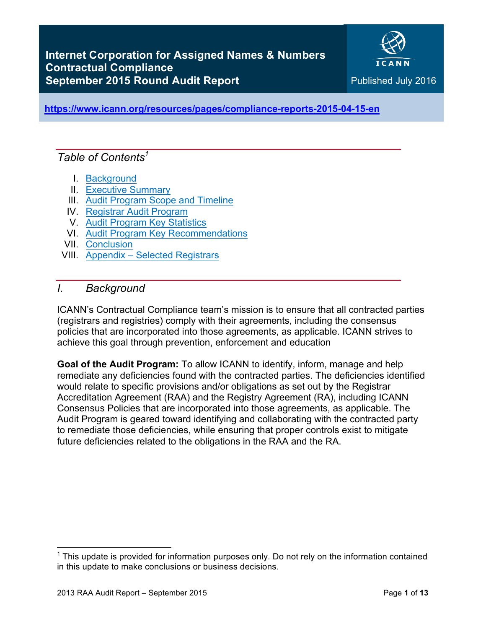

Audit Report

**https://www.icann.org/resources/pages/compliance-reports-2015-04-15-en**

# *Table of Contents1*

- I. Background
- II. Executive Summary
- III. Audit Program Scope and Timeline
- IV. Registrar Audit Program
- V. Audit Program Key Statistics
- VI. Audit Program Key Recommendations
- VII. Conclusion
- VIII. Appendix Selected Registrars

### *I. Background*

ICANN's Contractual Compliance team's mission is to ensure that all contracted parties (registrars and registries) comply with their agreements, including the consensus policies that are incorporated into those agreements, as applicable. ICANN strives to achieve this goal through prevention, enforcement and education

**Goal of the Audit Program:** To allow ICANN to identify, inform, manage and help remediate any deficiencies found with the contracted parties. The deficiencies identified would relate to specific provisions and/or obligations as set out by the Registrar Accreditation Agreement (RAA) and the Registry Agreement (RA), including ICANN Consensus Policies that are incorporated into those agreements, as applicable. The Audit Program is geared toward identifying and collaborating with the contracted party to remediate those deficiencies, while ensuring that proper controls exist to mitigate future deficiencies related to the obligations in the RAA and the RA.

 

 $1$  This update is provided for information purposes only. Do not rely on the information contained in this update to make conclusions or business decisions.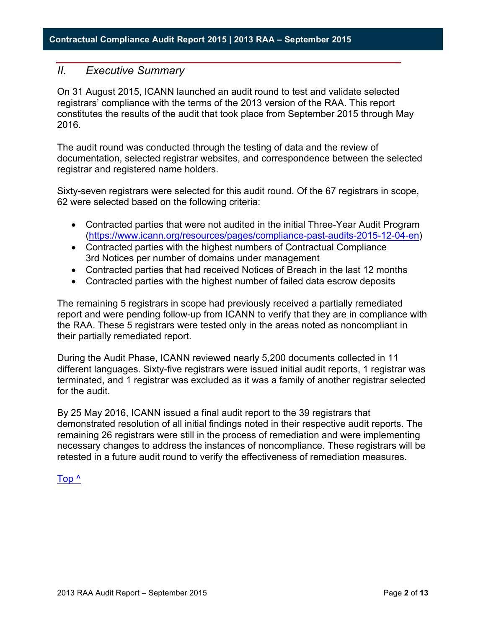### *II. Executive Summary*

On 31 August 2015, ICANN launched an audit round to test and validate selected registrars' compliance with the terms of the 2013 version of the RAA. This report constitutes the results of the audit that took place from September 2015 through May 2016.

The audit round was conducted through the testing of data and the review of documentation, selected registrar websites, and correspondence between the selected registrar and registered name holders.

Sixty-seven registrars were selected for this audit round. Of the 67 registrars in scope, 62 were selected based on the following criteria:

- Contracted parties that were not audited in the initial Three-Year Audit Program (https://www.icann.org/resources/pages/compliance-past-audits-2015-12-04-en)
- Contracted parties with the highest numbers of Contractual Compliance 3rd Notices per number of domains under management
- Contracted parties that had received Notices of Breach in the last 12 months
- Contracted parties with the highest number of failed data escrow deposits

The remaining 5 registrars in scope had previously received a partially remediated report and were pending follow-up from ICANN to verify that they are in compliance with the RAA. These 5 registrars were tested only in the areas noted as noncompliant in their partially remediated report.

During the Audit Phase, ICANN reviewed nearly 5,200 documents collected in 11 different languages. Sixty-five registrars were issued initial audit reports, 1 registrar was terminated, and 1 registrar was excluded as it was a family of another registrar selected for the audit.

By 25 May 2016, ICANN issued a final audit report to the 39 registrars that demonstrated resolution of all initial findings noted in their respective audit reports. The remaining 26 registrars were still in the process of remediation and were implementing necessary changes to address the instances of noncompliance. These registrars will be retested in a future audit round to verify the effectiveness of remediation measures.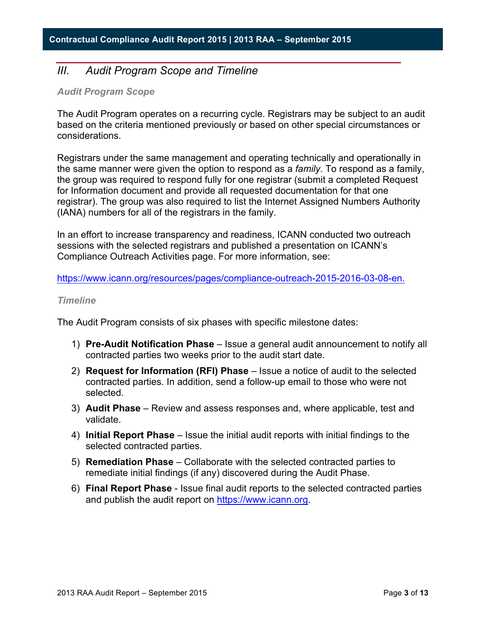# *III. Audit Program Scope and Timeline*

**3**

#### *Audit Program Scope*

The Audit Program operates on a recurring cycle. Registrars may be subject to an audit based on the criteria mentioned previously or based on other special circumstances or considerations.

Registrars under the same management and operating technically and operationally in the same manner were given the option to respond as a *family*. To respond as a family, the group was required to respond fully for one registrar (submit a completed Request for Information document and provide all requested documentation for that one registrar). The group was also required to list the Internet Assigned Numbers Authority (IANA) numbers for all of the registrars in the family.

In an effort to increase transparency and readiness, ICANN conducted two outreach sessions with the selected registrars and published a presentation on ICANN's Compliance Outreach Activities page. For more information, see:

https://www.icann.org/resources/pages/compliance-outreach-2015-2016-03-08-en.

#### *Timeline*

The Audit Program consists of six phases with specific milestone dates:

- 1) **Pre-Audit Notification Phase** Issue a general audit announcement to notify all contracted parties two weeks prior to the audit start date.
- 2) **Request for Information (RFI) Phase** Issue a notice of audit to the selected contracted parties. In addition, send a follow-up email to those who were not selected.
- 3) **Audit Phase** Review and assess responses and, where applicable, test and validate.
- 4) **Initial Report Phase** Issue the initial audit reports with initial findings to the selected contracted parties.
- 5) **Remediation Phase** Collaborate with the selected contracted parties to remediate initial findings (if any) discovered during the Audit Phase.
- 6) **Final Report Phase** Issue final audit reports to the selected contracted parties and publish the audit report on https://www.icann.org.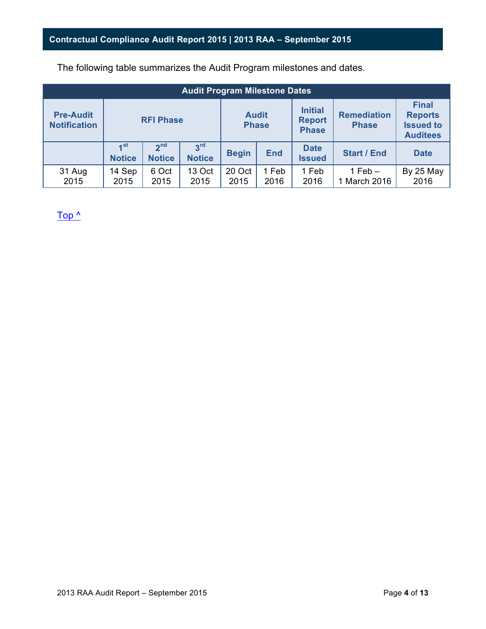The following table summarizes the Audit Program milestones and dates.

| <b>Audit Program Milestone Dates</b>    |                                             |                                  |                                  |                |                                                 |                                    |                                                                       |                   |
|-----------------------------------------|---------------------------------------------|----------------------------------|----------------------------------|----------------|-------------------------------------------------|------------------------------------|-----------------------------------------------------------------------|-------------------|
| <b>Pre-Audit</b><br><b>Notification</b> | <b>RFI Phase</b>                            |                                  | <b>Audit</b><br><b>Phase</b>     |                | <b>Initial</b><br><b>Report</b><br><b>Phase</b> | <b>Remediation</b><br><b>Phase</b> | <b>Final</b><br><b>Reports</b><br><b>Issued to</b><br><b>Auditees</b> |                   |
|                                         | $\mathbf{A}^{\mathsf{st}}$<br><b>Notice</b> | 2 <sup>nd</sup><br><b>Notice</b> | 3 <sup>rd</sup><br><b>Notice</b> | <b>Begin</b>   | <b>End</b>                                      | <b>Date</b><br><b>Issued</b>       | <b>Start / End</b>                                                    | <b>Date</b>       |
| 31 Aug<br>2015                          | 14 Sep<br>2015                              | 6 Oct<br>2015                    | 13 Oct<br>2015                   | 20 Oct<br>2015 | 1 Feb<br>2016                                   | 1 Feb<br>2016                      | $1$ Feb $-$<br>1 March 2016                                           | By 25 May<br>2016 |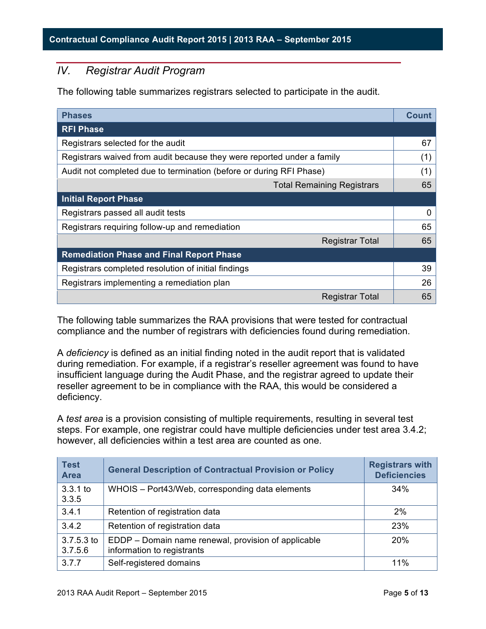# *IV. Registrar Audit Program*

The following table summarizes registrars selected to participate in the audit.

| <b>Phases</b>                                                          | <b>Count</b> |
|------------------------------------------------------------------------|--------------|
| <b>RFI Phase</b>                                                       |              |
| Registrars selected for the audit                                      | 67           |
| Registrars waived from audit because they were reported under a family | (1)          |
| Audit not completed due to termination (before or during RFI Phase)    | (1)          |
| <b>Total Remaining Registrars</b>                                      | 65           |
| <b>Initial Report Phase</b>                                            |              |
| Registrars passed all audit tests                                      | 0            |
| Registrars requiring follow-up and remediation                         | 65           |
| <b>Registrar Total</b>                                                 | 65           |
| <b>Remediation Phase and Final Report Phase</b>                        |              |
| Registrars completed resolution of initial findings                    | 39           |
| Registrars implementing a remediation plan                             | 26           |
| <b>Registrar Total</b>                                                 | 65           |

The following table summarizes the RAA provisions that were tested for contractual compliance and the number of registrars with deficiencies found during remediation.

A *deficiency* is defined as an initial finding noted in the audit report that is validated during remediation. For example, if a registrar's reseller agreement was found to have insufficient language during the Audit Phase, and the registrar agreed to update their reseller agreement to be in compliance with the RAA, this would be considered a deficiency.

A *test area* is a provision consisting of multiple requirements, resulting in several test steps. For example, one registrar could have multiple deficiencies under test area 3.4.2; however, all deficiencies within a test area are counted as one.

| <b>Test</b><br><b>Area</b> | <b>General Description of Contractual Provision or Policy</b>                     | <b>Registrars with</b><br><b>Deficiencies</b> |
|----------------------------|-----------------------------------------------------------------------------------|-----------------------------------------------|
| $3.3.1$ to<br>3.3.5        | WHOIS - Port43/Web, corresponding data elements                                   | 34%                                           |
| 3.4.1                      | Retention of registration data                                                    | 2%                                            |
| 3.4.2                      | Retention of registration data                                                    | 23%                                           |
| $3.7.5.3$ to<br>3.7.5.6    | EDDP – Domain name renewal, provision of applicable<br>information to registrants | <b>20%</b>                                    |
| 3.7.7                      | Self-registered domains                                                           | 11%                                           |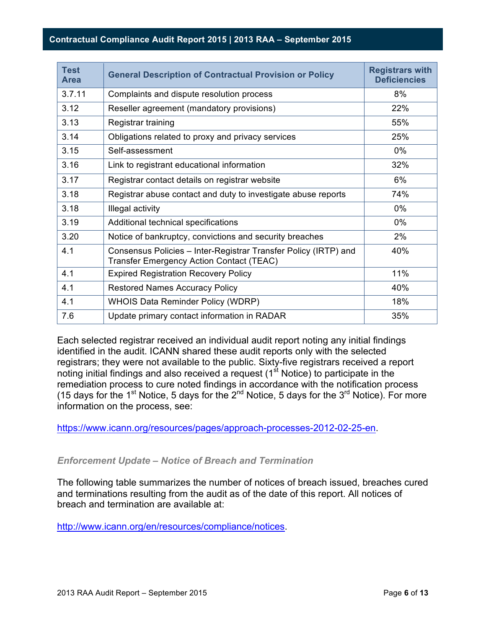### **Contractual Compliance Audit Report 2015 | 2013 RAA – September 2015**

**6**

| <b>Test</b><br><b>Area</b> | <b>General Description of Contractual Provision or Policy</b>                                               | <b>Registrars with</b><br><b>Deficiencies</b> |
|----------------------------|-------------------------------------------------------------------------------------------------------------|-----------------------------------------------|
| 3.7.11                     | Complaints and dispute resolution process                                                                   | 8%                                            |
| 3.12                       | Reseller agreement (mandatory provisions)                                                                   | 22%                                           |
| 3.13                       | Registrar training                                                                                          | 55%                                           |
| 3.14                       | Obligations related to proxy and privacy services                                                           | 25%                                           |
| 3.15                       | Self-assessment                                                                                             | $0\%$                                         |
| 3.16                       | Link to registrant educational information                                                                  | 32%                                           |
| 3.17                       | Registrar contact details on registrar website                                                              | 6%                                            |
| 3.18                       | Registrar abuse contact and duty to investigate abuse reports                                               | 74%                                           |
| 3.18                       | Illegal activity                                                                                            | $0\%$                                         |
| 3.19                       | Additional technical specifications                                                                         | $0\%$                                         |
| 3.20                       | Notice of bankruptcy, convictions and security breaches                                                     | 2%                                            |
| 4.1                        | Consensus Policies - Inter-Registrar Transfer Policy (IRTP) and<br>Transfer Emergency Action Contact (TEAC) | 40%                                           |
| 4.1                        | <b>Expired Registration Recovery Policy</b>                                                                 | 11%                                           |
| 4.1                        | <b>Restored Names Accuracy Policy</b>                                                                       | 40%                                           |
| 4.1                        | <b>WHOIS Data Reminder Policy (WDRP)</b>                                                                    | 18%                                           |
| 7.6                        | Update primary contact information in RADAR                                                                 | 35%                                           |

Each selected registrar received an individual audit report noting any initial findings identified in the audit. ICANN shared these audit reports only with the selected registrars; they were not available to the public. Sixty-five registrars received a report noting initial findings and also received a request  $(1<sup>st</sup>$  Notice) to participate in the remediation process to cure noted findings in accordance with the notification process (15 days for the 1<sup>st</sup> Notice, 5 days for the  $2^{nd}$  Notice, 5 days for the 3<sup>rd</sup> Notice). For more information on the process, see:

https://www.icann.org/resources/pages/approach-processes-2012-02-25-en.

### *Enforcement Update – Notice of Breach and Termination*

The following table summarizes the number of notices of breach issued, breaches cured and terminations resulting from the audit as of the date of this report. All notices of breach and termination are available at:

http://www.icann.org/en/resources/compliance/notices.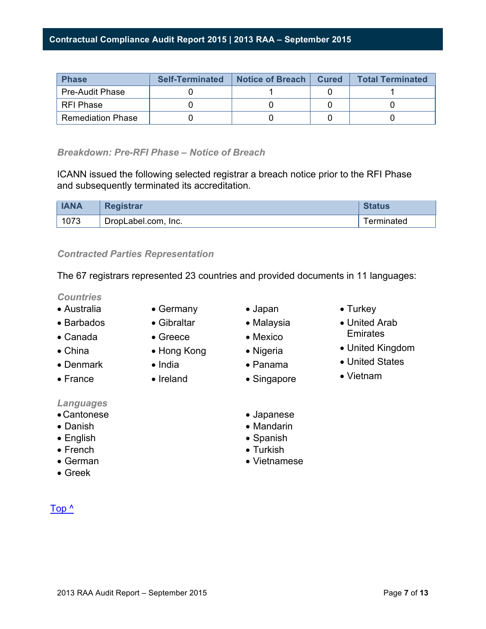| <b>Phase</b>             | <b>Self-Terminated</b> | Notice of Breach   Cured | <b>Total Terminated</b> |
|--------------------------|------------------------|--------------------------|-------------------------|
| <b>Pre-Audit Phase</b>   |                        |                          |                         |
| RFI Phase                |                        |                          |                         |
| <b>Remediation Phase</b> |                        |                          |                         |

### *Breakdown: Pre-RFI Phase – Notice of Breach*

**7**

ICANN issued the following selected registrar a breach notice prior to the RFI Phase and subsequently terminated its accreditation.

| <b>IANA</b> | <b>Registrar</b>    | <b>Status</b> |
|-------------|---------------------|---------------|
| 1073        | DropLabel.com, Inc. | Terminated    |

### *Contracted Parties Representation*

The 67 registrars represented 23 countries and provided documents in 11 languages:

#### *Countries*

- Australia
- Barbados
- Canada
- China
- Denmark
- France
- 
- *Languages*
- •Cantonese
- Danish
- English
- French
- German
- Greek

- Germany
- Gibraltar
- Greece
- Hong Kong
- India
- Ireland
- Japan
- Malaysia
- Mexico
- Nigeria
- Panama
- Singapore
- Japanese
- Mandarin
- Spanish
- Turkish
- Vietnamese
- Turkey
- United Arab **Emirates**
- United Kingdom
- United States
- Vietnam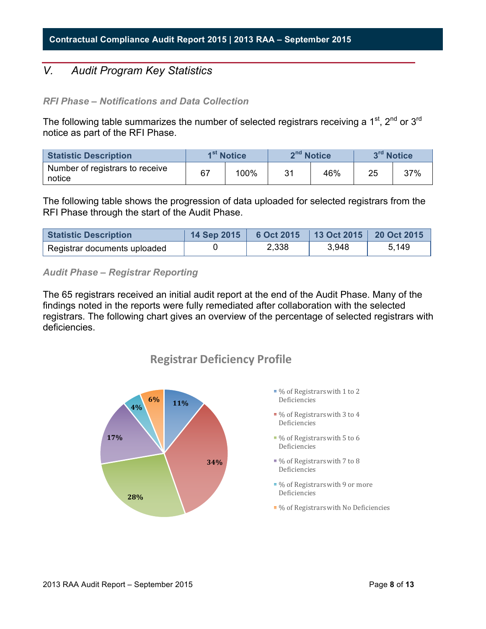# *V. Audit Program Key Statistics*

#### *RFI Phase – Notifications and Data Collection*

**8**

The following table summarizes the number of selected registrars receiving a  $1<sup>st</sup>$ ,  $2<sup>nd</sup>$  or  $3<sup>rd</sup>$ notice as part of the RFI Phase.

| <b>Statistic Description</b>              | 1 <sup>st</sup> Notice |      | 2 <sup>nd</sup> Notice |     | 3rd Notice |     |
|-------------------------------------------|------------------------|------|------------------------|-----|------------|-----|
| Number of registrars to receive<br>notice | 67                     | 100% | 31                     | 46% | 25         | 37% |

The following table shows the progression of data uploaded for selected registrars from the RFI Phase through the start of the Audit Phase.

| <b>Statistic Description</b> | 14 Sep 2015 | 6 Oct 2015 13 Oct 2015 20 Oct 2015 |       |       |
|------------------------------|-------------|------------------------------------|-------|-------|
| Registrar documents uploaded |             | 2,338                              | 3,948 | 5,149 |

*Audit Phase – Registrar Reporting*

The 65 registrars received an initial audit report at the end of the Audit Phase. Many of the findings noted in the reports were fully remediated after collaboration with the selected registrars. The following chart gives an overview of the percentage of selected registrars with deficiencies.



# **Registrar Deficiency Profile**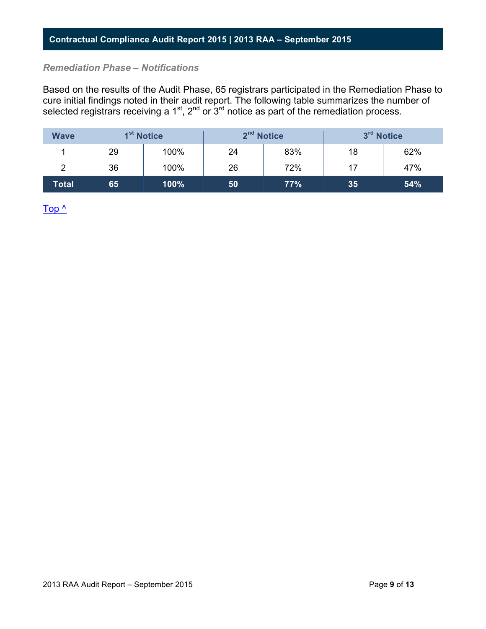#### *Remediation Phase – Notifications*

Based on the results of the Audit Phase, 65 registrars participated in the Remediation Phase to cure initial findings noted in their audit report. The following table summarizes the number of selected registrars receiving a 1<sup>st</sup>, 2<sup>nd</sup> or  $3^{rd}$  notice as part of the remediation process.

| <b>Wave</b> | 1 <sup>st</sup> Notice |      |    | 2 <sup>nd</sup> Notice | 3rd Notice |     |
|-------------|------------------------|------|----|------------------------|------------|-----|
|             | 29                     | 100% | 24 | 83%                    | 18         | 62% |
| 2           | 36                     | 100% | 26 | 72%                    | 17         | 47% |
| Total       | 65                     | 100% | 50 | 77%                    | 35         | 54% |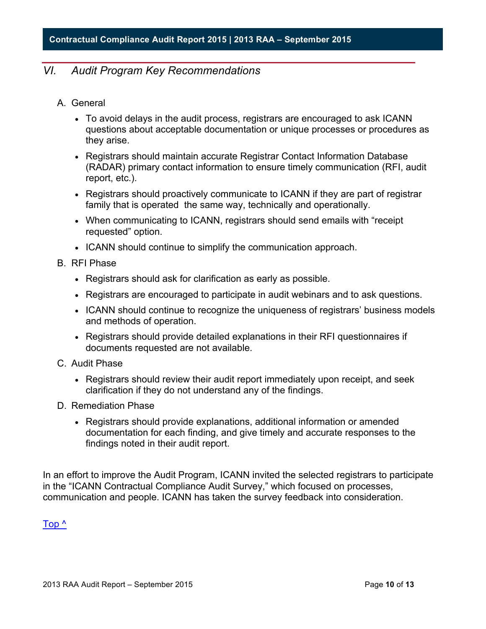# *VI. Audit Program Key Recommendations*

**10**

- A. General
	- To avoid delays in the audit process, registrars are encouraged to ask ICANN questions about acceptable documentation or unique processes or procedures as they arise.
	- Registrars should maintain accurate Registrar Contact Information Database (RADAR) primary contact information to ensure timely communication (RFI, audit report, etc.).
	- Registrars should proactively communicate to ICANN if they are part of registrar family that is operated the same way, technically and operationally.
	- When communicating to ICANN, registrars should send emails with "receipt" requested" option.
	- ICANN should continue to simplify the communication approach.
- B. RFI Phase
	- Registrars should ask for clarification as early as possible.
	- Registrars are encouraged to participate in audit webinars and to ask questions.
	- ICANN should continue to recognize the uniqueness of registrars' business models and methods of operation.
	- Registrars should provide detailed explanations in their RFI questionnaires if documents requested are not available.
- C. Audit Phase
	- Registrars should review their audit report immediately upon receipt, and seek clarification if they do not understand any of the findings.
- D. Remediation Phase
	- Registrars should provide explanations, additional information or amended documentation for each finding, and give timely and accurate responses to the findings noted in their audit report.

In an effort to improve the Audit Program, ICANN invited the selected registrars to participate in the "ICANN Contractual Compliance Audit Survey," which focused on processes, communication and people. ICANN has taken the survey feedback into consideration.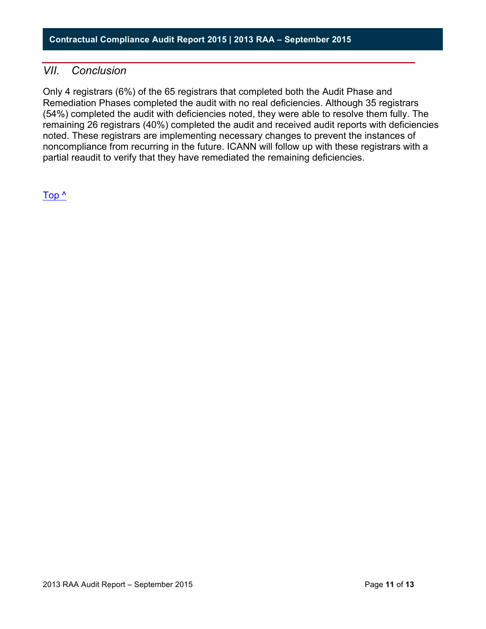### *VII. Conclusion*

Only 4 registrars (6%) of the 65 registrars that completed both the Audit Phase and Remediation Phases completed the audit with no real deficiencies. Although 35 registrars (54%) completed the audit with deficiencies noted, they were able to resolve them fully. The remaining 26 registrars (40%) completed the audit and received audit reports with deficiencies noted. These registrars are implementing necessary changes to prevent the instances of noncompliance from recurring in the future. ICANN will follow up with these registrars with a partial reaudit to verify that they have remediated the remaining deficiencies.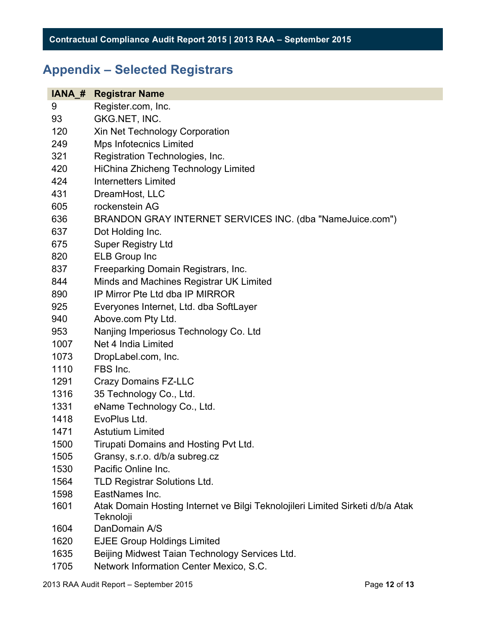# **Appendix – Selected Registrars**

| IANA # | <b>Registrar Name</b>                                                                       |
|--------|---------------------------------------------------------------------------------------------|
| 9      | Register.com, Inc.                                                                          |
| 93     | GKG.NET, INC.                                                                               |
| 120    | Xin Net Technology Corporation                                                              |
| 249    | Mps Infotecnics Limited                                                                     |
| 321    | Registration Technologies, Inc.                                                             |
| 420    | HiChina Zhicheng Technology Limited                                                         |
| 424    | <b>Internetters Limited</b>                                                                 |
| 431    | DreamHost, LLC                                                                              |
| 605    | rockenstein AG                                                                              |
| 636    | BRANDON GRAY INTERNET SERVICES INC. (dba "NameJuice.com")                                   |
| 637    | Dot Holding Inc.                                                                            |
| 675    | <b>Super Registry Ltd</b>                                                                   |
| 820    | <b>ELB Group Inc</b>                                                                        |
| 837    | Freeparking Domain Registrars, Inc.                                                         |
| 844    | Minds and Machines Registrar UK Limited                                                     |
| 890    | IP Mirror Pte Ltd dba IP MIRROR                                                             |
| 925    | Everyones Internet, Ltd. dba SoftLayer                                                      |
| 940    | Above.com Pty Ltd.                                                                          |
| 953    | Nanjing Imperiosus Technology Co. Ltd                                                       |
| 1007   | Net 4 India Limited                                                                         |
| 1073   | DropLabel.com, Inc.                                                                         |
| 1110   | FBS Inc.                                                                                    |
| 1291   | <b>Crazy Domains FZ-LLC</b>                                                                 |
| 1316   | 35 Technology Co., Ltd.                                                                     |
| 1331   | eName Technology Co., Ltd.                                                                  |
| 1418   | EvoPlus Ltd.                                                                                |
| 1471   | <b>Astutium Limited</b>                                                                     |
| 1500   | Tirupati Domains and Hosting Pvt Ltd.                                                       |
| 1505   | Gransy, s.r.o. d/b/a subreg.cz                                                              |
| 1530   | Pacific Online Inc.                                                                         |
| 1564   | <b>TLD Registrar Solutions Ltd.</b>                                                         |
| 1598   | EastNames Inc.                                                                              |
| 1601   | Atak Domain Hosting Internet ve Bilgi Teknolojileri Limited Sirketi d/b/a Atak<br>Teknoloji |
| 1604   | DanDomain A/S                                                                               |
| 1620   | <b>EJEE Group Holdings Limited</b>                                                          |
| 1635   | Beijing Midwest Taian Technology Services Ltd.                                              |

Network Information Center Mexico, S.C.